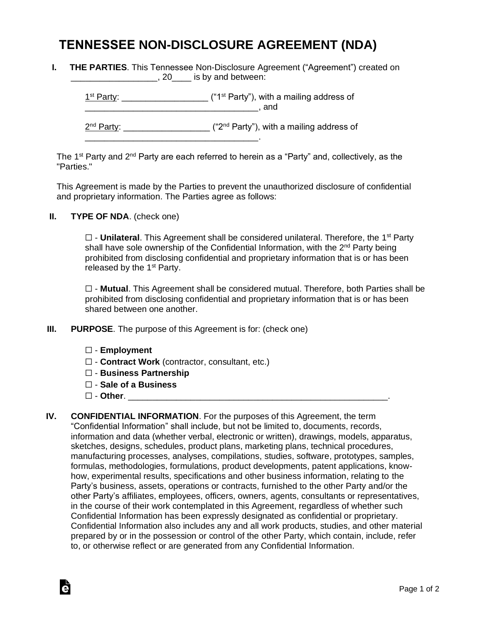## **TENNESSEE NON-DISCLOSURE AGREEMENT (NDA)**

**I. THE PARTIES**. This Tennessee Non-Disclosure Agreement ("Agreement") created on **EXECUTE:** 120 Section 20 And between:

 $1<sup>st</sup> Party: _______$  $\blacksquare$  and 2<sup>nd</sup> Party: \_\_\_\_\_\_\_\_\_\_\_\_\_\_\_\_\_\_\_\_ ("2<sup>nd</sup> Party"), with a mailing address of \_\_\_\_\_\_\_\_\_\_\_\_\_\_\_\_\_\_\_\_\_\_\_\_\_\_\_\_\_\_\_\_\_\_\_\_.

The 1<sup>st</sup> Party and 2<sup>nd</sup> Party are each referred to herein as a "Party" and, collectively, as the "Parties."

This Agreement is made by the Parties to prevent the unauthorized disclosure of confidential and proprietary information. The Parties agree as follows:

**II. TYPE OF NDA**. (check one)

□ - **Unilateral**. This Agreement shall be considered unilateral. Therefore, the 1<sup>st</sup> Party shall have sole ownership of the Confidential Information, with the 2<sup>nd</sup> Party being prohibited from disclosing confidential and proprietary information that is or has been released by the  $1<sup>st</sup>$  Party.

☐ - **Mutual**. This Agreement shall be considered mutual. Therefore, both Parties shall be prohibited from disclosing confidential and proprietary information that is or has been shared between one another.

- **III. PURPOSE**. The purpose of this Agreement is for: (check one)
	- ☐ **Employment**
	- ☐ **Contract Work** (contractor, consultant, etc.)
	- ☐ **Business Partnership**
	- ☐ **Sale of a Business**
	- ☐ **Other**. \_\_\_\_\_\_\_\_\_\_\_\_\_\_\_\_\_\_\_\_\_\_\_\_\_\_\_\_\_\_\_\_\_\_\_\_\_\_\_\_\_\_\_\_\_\_\_\_\_\_\_\_\_\_.

Ġ

**IV. CONFIDENTIAL INFORMATION**. For the purposes of this Agreement, the term "Confidential Information" shall include, but not be limited to, documents, records, information and data (whether verbal, electronic or written), drawings, models, apparatus, sketches, designs, schedules, product plans, marketing plans, technical procedures, manufacturing processes, analyses, compilations, studies, software, prototypes, samples, formulas, methodologies, formulations, product developments, patent applications, knowhow, experimental results, specifications and other business information, relating to the Party's business, assets, operations or contracts, furnished to the other Party and/or the other Party's affiliates, employees, officers, owners, agents, consultants or representatives, in the course of their work contemplated in this Agreement, regardless of whether such Confidential Information has been expressly designated as confidential or proprietary. Confidential Information also includes any and all work products, studies, and other material prepared by or in the possession or control of the other Party, which contain, include, refer to, or otherwise reflect or are generated from any Confidential Information.